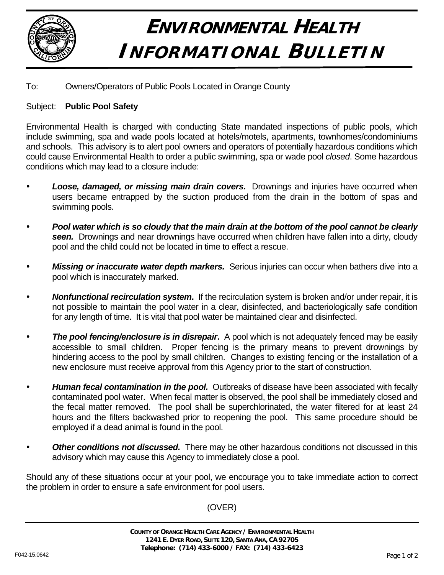

## **ENVIRONMENTAL HEALTH INFORMATIONAL BULLETIN**

## To: Owners/Operators of Public Pools Located in Orange County

## Subject: **Public Pool Safety**

Environmental Health is charged with conducting State mandated inspections of public pools, which include swimming, spa and wade pools located at hotels/motels, apartments, townhomes/condominiums and schools. This advisory is to alert pool owners and operators of potentially hazardous conditions which could cause Environmental Health to order a public swimming, spa or wade pool *closed*. Some hazardous conditions which may lead to a closure include:

- **Loose, damaged, or missing main drain covers.** Drownings and injuries have occurred when users became entrapped by the suction produced from the drain in the bottom of spas and swimming pools.
- y *Pool water which is so cloudy that the main drain at the bottom of the pool cannot be clearly seen.* Drownings and near drownings have occurred when children have fallen into a dirty, cloudy pool and the child could not be located in time to effect a rescue.
- **Missing or inaccurate water depth markers.** Serious injuries can occur when bathers dive into a pool which is inaccurately marked.
- **Nonfunctional recirculation system.** If the recirculation system is broken and/or under repair, it is not possible to maintain the pool water in a clear, disinfected, and bacteriologically safe condition for any length of time. It is vital that pool water be maintained clear and disinfected.
- **The pool fencing/enclosure is in disrepair.** A pool which is not adequately fenced may be easily accessible to small children. Proper fencing is the primary means to prevent drownings by hindering access to the pool by small children. Changes to existing fencing or the installation of a new enclosure must receive approval from this Agency prior to the start of construction.
- Human fecal contamination in the pool. Outbreaks of disease have been associated with fecally contaminated pool water. When fecal matter is observed, the pool shall be immediately closed and the fecal matter removed. The pool shall be superchlorinated, the water filtered for at least 24 hours and the filters backwashed prior to reopening the pool. This same procedure should be employed if a dead animal is found in the pool.
- Other conditions not discussed. There may be other hazardous conditions not discussed in this advisory which may cause this Agency to immediately close a pool.

Should any of these situations occur at your pool, we encourage you to take immediate action to correct the problem in order to ensure a safe environment for pool users.

(OVER)